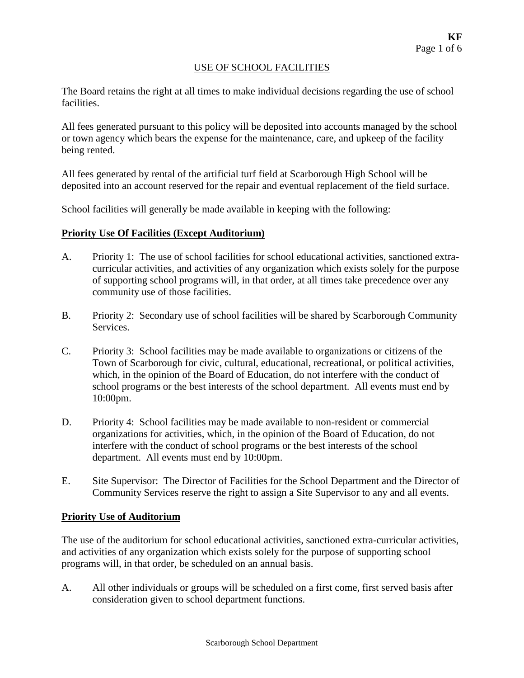#### USE OF SCHOOL FACILITIES

The Board retains the right at all times to make individual decisions regarding the use of school facilities.

All fees generated pursuant to this policy will be deposited into accounts managed by the school or town agency which bears the expense for the maintenance, care, and upkeep of the facility being rented.

All fees generated by rental of the artificial turf field at Scarborough High School will be deposited into an account reserved for the repair and eventual replacement of the field surface.

School facilities will generally be made available in keeping with the following:

### **Priority Use Of Facilities (Except Auditorium)**

- A. Priority 1: The use of school facilities for school educational activities, sanctioned extracurricular activities, and activities of any organization which exists solely for the purpose of supporting school programs will, in that order, at all times take precedence over any community use of those facilities.
- B. Priority 2: Secondary use of school facilities will be shared by Scarborough Community Services.
- C. Priority 3: School facilities may be made available to organizations or citizens of the Town of Scarborough for civic, cultural, educational, recreational, or political activities, which, in the opinion of the Board of Education, do not interfere with the conduct of school programs or the best interests of the school department. All events must end by 10:00pm.
- D. Priority 4: School facilities may be made available to non-resident or commercial organizations for activities, which, in the opinion of the Board of Education, do not interfere with the conduct of school programs or the best interests of the school department. All events must end by 10:00pm.
- E. Site Supervisor: The Director of Facilities for the School Department and the Director of Community Services reserve the right to assign a Site Supervisor to any and all events.

#### **Priority Use of Auditorium**

The use of the auditorium for school educational activities, sanctioned extra-curricular activities, and activities of any organization which exists solely for the purpose of supporting school programs will, in that order, be scheduled on an annual basis.

A. All other individuals or groups will be scheduled on a first come, first served basis after consideration given to school department functions.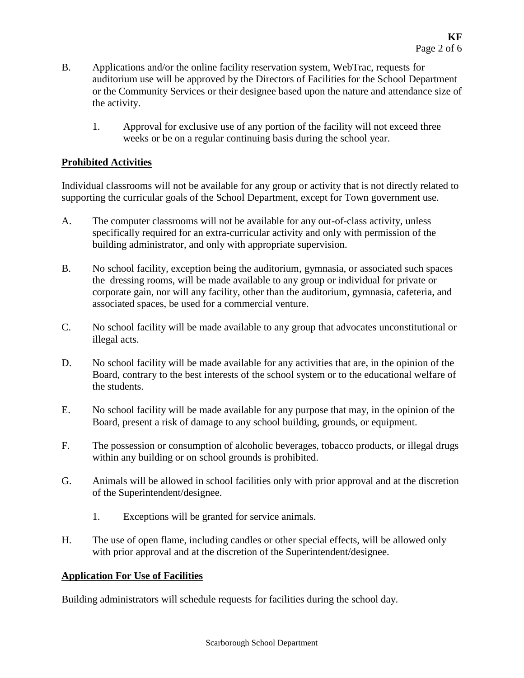- B. Applications and/or the online facility reservation system, WebTrac, requests for auditorium use will be approved by the Directors of Facilities for the School Department or the Community Services or their designee based upon the nature and attendance size of the activity.
	- 1. Approval for exclusive use of any portion of the facility will not exceed three weeks or be on a regular continuing basis during the school year.

## **Prohibited Activities**

Individual classrooms will not be available for any group or activity that is not directly related to supporting the curricular goals of the School Department, except for Town government use.

- A. The computer classrooms will not be available for any out-of-class activity, unless specifically required for an extra-curricular activity and only with permission of the building administrator, and only with appropriate supervision.
- B. No school facility, exception being the auditorium, gymnasia, or associated such spaces the dressing rooms, will be made available to any group or individual for private or corporate gain, nor will any facility, other than the auditorium, gymnasia, cafeteria, and associated spaces, be used for a commercial venture.
- C. No school facility will be made available to any group that advocates unconstitutional or illegal acts.
- D. No school facility will be made available for any activities that are, in the opinion of the Board, contrary to the best interests of the school system or to the educational welfare of the students.
- E. No school facility will be made available for any purpose that may, in the opinion of the Board, present a risk of damage to any school building, grounds, or equipment.
- F. The possession or consumption of alcoholic beverages, tobacco products, or illegal drugs within any building or on school grounds is prohibited.
- G. Animals will be allowed in school facilities only with prior approval and at the discretion of the Superintendent/designee.
	- 1. Exceptions will be granted for service animals.
- H. The use of open flame, including candles or other special effects, will be allowed only with prior approval and at the discretion of the Superintendent/designee.

## **Application For Use of Facilities**

Building administrators will schedule requests for facilities during the school day.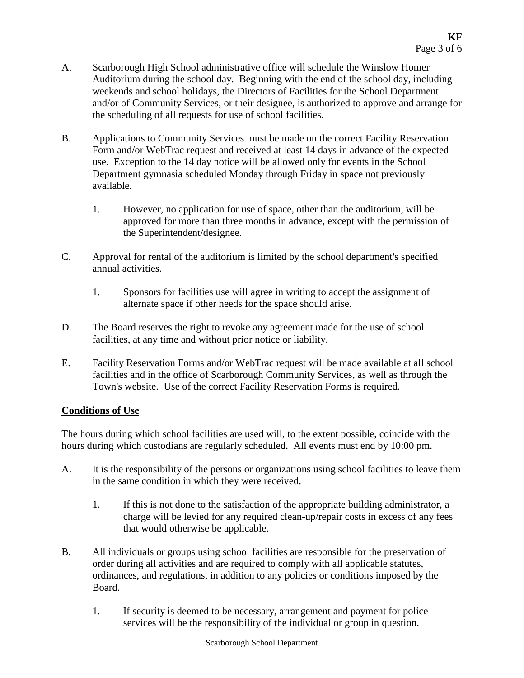- A. Scarborough High School administrative office will schedule the Winslow Homer Auditorium during the school day. Beginning with the end of the school day, including weekends and school holidays, the Directors of Facilities for the School Department and/or of Community Services, or their designee, is authorized to approve and arrange for the scheduling of all requests for use of school facilities.
- B. Applications to Community Services must be made on the correct Facility Reservation Form and/or WebTrac request and received at least 14 days in advance of the expected use. Exception to the 14 day notice will be allowed only for events in the School Department gymnasia scheduled Monday through Friday in space not previously available.
	- 1. However, no application for use of space, other than the auditorium, will be approved for more than three months in advance, except with the permission of the Superintendent/designee.
- C. Approval for rental of the auditorium is limited by the school department's specified annual activities.
	- 1. Sponsors for facilities use will agree in writing to accept the assignment of alternate space if other needs for the space should arise.
- D. The Board reserves the right to revoke any agreement made for the use of school facilities, at any time and without prior notice or liability.
- E. Facility Reservation Forms and/or WebTrac request will be made available at all school facilities and in the office of Scarborough Community Services, as well as through the Town's website. Use of the correct Facility Reservation Forms is required.

## **Conditions of Use**

The hours during which school facilities are used will, to the extent possible, coincide with the hours during which custodians are regularly scheduled. All events must end by 10:00 pm.

- A. It is the responsibility of the persons or organizations using school facilities to leave them in the same condition in which they were received.
	- 1. If this is not done to the satisfaction of the appropriate building administrator, a charge will be levied for any required clean-up/repair costs in excess of any fees that would otherwise be applicable.
- B. All individuals or groups using school facilities are responsible for the preservation of order during all activities and are required to comply with all applicable statutes, ordinances, and regulations, in addition to any policies or conditions imposed by the Board.
	- 1. If security is deemed to be necessary, arrangement and payment for police services will be the responsibility of the individual or group in question.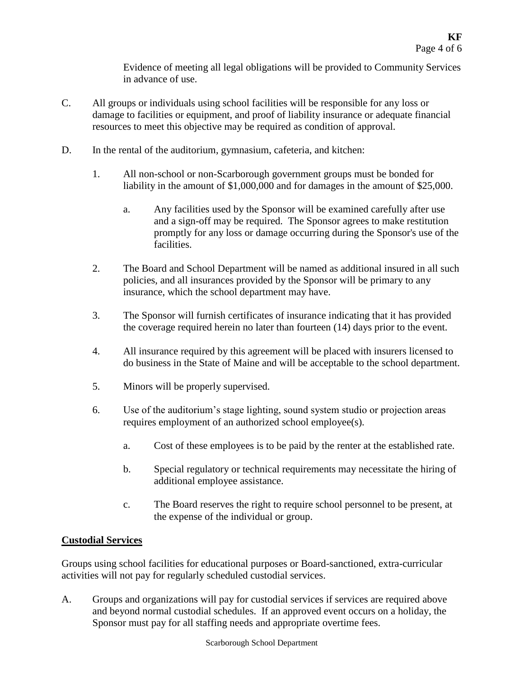Evidence of meeting all legal obligations will be provided to Community Services in advance of use.

- C. All groups or individuals using school facilities will be responsible for any loss or damage to facilities or equipment, and proof of liability insurance or adequate financial resources to meet this objective may be required as condition of approval.
- D. In the rental of the auditorium, gymnasium, cafeteria, and kitchen:
	- 1. All non-school or non-Scarborough government groups must be bonded for liability in the amount of \$1,000,000 and for damages in the amount of \$25,000.
		- a. Any facilities used by the Sponsor will be examined carefully after use and a sign-off may be required. The Sponsor agrees to make restitution promptly for any loss or damage occurring during the Sponsor's use of the facilities.
	- 2. The Board and School Department will be named as additional insured in all such policies, and all insurances provided by the Sponsor will be primary to any insurance, which the school department may have.
	- 3. The Sponsor will furnish certificates of insurance indicating that it has provided the coverage required herein no later than fourteen (14) days prior to the event.
	- 4. All insurance required by this agreement will be placed with insurers licensed to do business in the State of Maine and will be acceptable to the school department.
	- 5. Minors will be properly supervised.
	- 6. Use of the auditorium's stage lighting, sound system studio or projection areas requires employment of an authorized school employee(s).
		- a. Cost of these employees is to be paid by the renter at the established rate.
		- b. Special regulatory or technical requirements may necessitate the hiring of additional employee assistance.
		- c. The Board reserves the right to require school personnel to be present, at the expense of the individual or group.

# **Custodial Services**

Groups using school facilities for educational purposes or Board-sanctioned, extra-curricular activities will not pay for regularly scheduled custodial services.

A. Groups and organizations will pay for custodial services if services are required above and beyond normal custodial schedules. If an approved event occurs on a holiday, the Sponsor must pay for all staffing needs and appropriate overtime fees.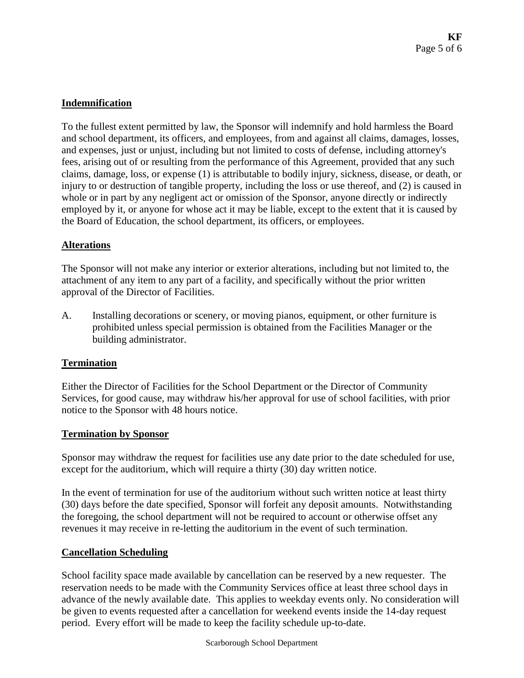# **Indemnification**

To the fullest extent permitted by law, the Sponsor will indemnify and hold harmless the Board and school department, its officers, and employees, from and against all claims, damages, losses, and expenses, just or unjust, including but not limited to costs of defense, including attorney's fees, arising out of or resulting from the performance of this Agreement, provided that any such claims, damage, loss, or expense (1) is attributable to bodily injury, sickness, disease, or death, or injury to or destruction of tangible property, including the loss or use thereof, and (2) is caused in whole or in part by any negligent act or omission of the Sponsor, anyone directly or indirectly employed by it, or anyone for whose act it may be liable, except to the extent that it is caused by the Board of Education, the school department, its officers, or employees.

### **Alterations**

The Sponsor will not make any interior or exterior alterations, including but not limited to, the attachment of any item to any part of a facility, and specifically without the prior written approval of the Director of Facilities.

A. Installing decorations or scenery, or moving pianos, equipment, or other furniture is prohibited unless special permission is obtained from the Facilities Manager or the building administrator.

## **Termination**

Either the Director of Facilities for the School Department or the Director of Community Services, for good cause, may withdraw his/her approval for use of school facilities, with prior notice to the Sponsor with 48 hours notice.

#### **Termination by Sponsor**

Sponsor may withdraw the request for facilities use any date prior to the date scheduled for use, except for the auditorium, which will require a thirty (30) day written notice.

In the event of termination for use of the auditorium without such written notice at least thirty (30) days before the date specified, Sponsor will forfeit any deposit amounts. Notwithstanding the foregoing, the school department will not be required to account or otherwise offset any revenues it may receive in re-letting the auditorium in the event of such termination.

## **Cancellation Scheduling**

School facility space made available by cancellation can be reserved by a new requester. The reservation needs to be made with the Community Services office at least three school days in advance of the newly available date. This applies to weekday events only. No consideration will be given to events requested after a cancellation for weekend events inside the 14-day request period. Every effort will be made to keep the facility schedule up-to-date.